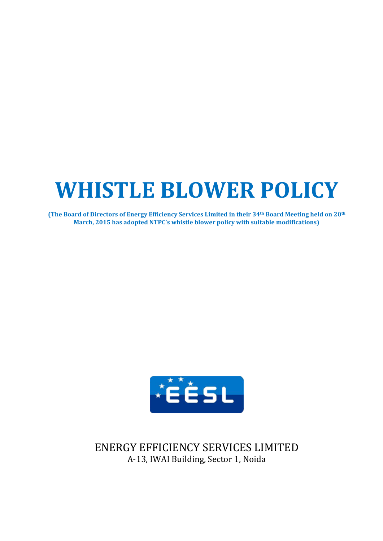# **WHISTLE BLOWER POLICY**

**(The Board of Directors of Energy Efficiency Services Limited in their 34th Board Meeting held on 20th March, 2015 has adopted NTPC's whistle blower policy with suitable modifications)**



ENERGY EFFICIENCY SERVICES LIMITED A-13, IWAI Building, Sector 1, Noida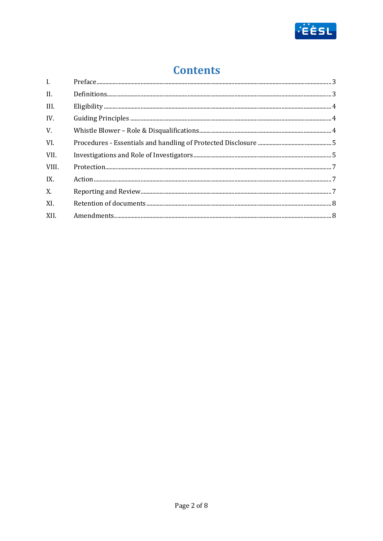

# **Contents**

| $\mathbf{I}$ . |  |
|----------------|--|
| II.            |  |
| III.           |  |
| IV.            |  |
| V.             |  |
| VI.            |  |
| VII.           |  |
| VIII.          |  |
| IX.            |  |
| X.             |  |
| XI.            |  |
| XII.           |  |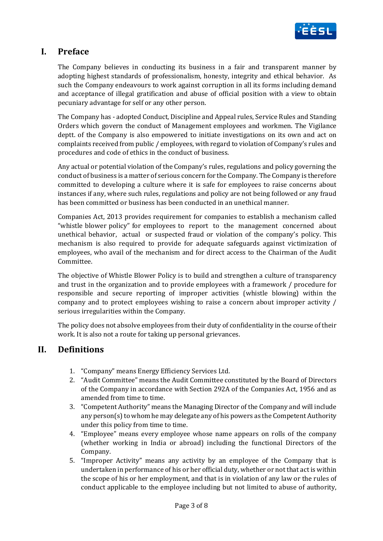

#### **I. Preface**

The Company believes in conducting its business in a fair and transparent manner by adopting highest standards of professionalism, honesty, integrity and ethical behavior. As such the Company endeavours to work against corruption in all its forms including demand and acceptance of illegal gratification and abuse of official position with a view to obtain pecuniary advantage for self or any other person.

The Company has - adopted Conduct, Discipline and Appeal rules, Service Rules and Standing Orders which govern the conduct of Management employees and workmen. The Vigilance deptt. of the Company is also empowered to initiate investigations on its own and act on complaints received from public / employees, with regard to violation of Company's rules and procedures and code of ethics in the conduct of business.

Any actual or potential violation of the Company's rules, regulations and policy governing the conduct of business is a matter of serious concern for the Company. The Company is therefore committed to developing a culture where it is safe for employees to raise concerns about instances if any, where such rules, regulations and policy are not being followed or any fraud has been committed or business has been conducted in an unethical manner.

Companies Act, 2013 provides requirement for companies to establish a mechanism called "whistle blower policy" for employees to report to the management concerned about unethical behavior, actual or suspected fraud or violation of the company's policy. This mechanism is also required to provide for adequate safeguards against victimization of employees, who avail of the mechanism and for direct access to the Chairman of the Audit Committee.

The objective of Whistle Blower Policy is to build and strengthen a culture of transparency and trust in the organization and to provide employees with a framework / procedure for responsible and secure reporting of improper activities (whistle blowing) within the company and to protect employees wishing to raise a concern about improper activity / serious irregularities within the Company.

The policy does not absolve employees from their duty of confidentiality in the course of their work. It is also not a route for taking up personal grievances.

#### **II. Definitions**

- 1. "Company" means Energy Efficiency Services Ltd.
- 2. "Audit Committee" means the Audit Committee constituted by the Board of Directors of the Company in accordance with Section 292A of the Companies Act, 1956 and as amended from time to time.
- 3. "Competent Authority" means the Managing Director of the Company and will include any person(s) to whom he may delegate any of his powers as the Competent Authority under this policy from time to time.
- 4. "Employee" means every employee whose name appears on rolls of the company (whether working in India or abroad) including the functional Directors of the Company.
- 5. "Improper Activity" means any activity by an employee of the Company that is undertaken in performance of his or her official duty, whether or not that act is within the scope of his or her employment, and that is in violation of any law or the rules of conduct applicable to the employee including but not limited to abuse of authority,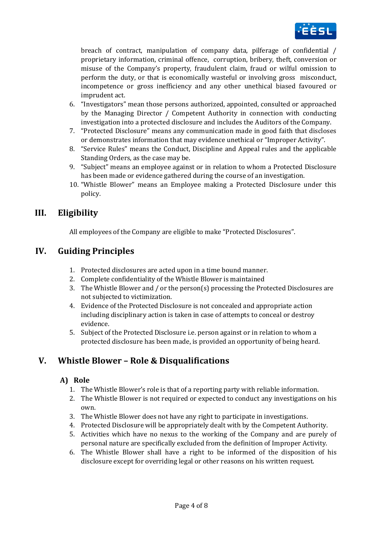

breach of contract, manipulation of company data, pilferage of confidential / proprietary information, criminal offence, corruption, bribery, theft, conversion or misuse of the Company's property, fraudulent claim, fraud or wilful omission to perform the duty, or that is economically wasteful or involving gross misconduct, incompetence or gross inefficiency and any other unethical biased favoured or imprudent act.

- 6. "Investigators" mean those persons authorized, appointed, consulted or approached by the Managing Director / Competent Authority in connection with conducting investigation into a protected disclosure and includes the Auditors of the Company.
- 7. "Protected Disclosure" means any communication made in good faith that discloses or demonstrates information that may evidence unethical or "Improper Activity".
- 8. "Service Rules" means the Conduct, Discipline and Appeal rules and the applicable Standing Orders, as the case may be.
- 9. "Subject" means an employee against or in relation to whom a Protected Disclosure has been made or evidence gathered during the course of an investigation.
- 10. "Whistle Blower" means an Employee making a Protected Disclosure under this policy.

### **III. Eligibility**

All employees of the Company are eligible to make "Protected Disclosures".

### **IV. Guiding Principles**

- 1. Protected disclosures are acted upon in a time bound manner.
- 2. Complete confidentiality of the Whistle Blower is maintained
- 3. The Whistle Blower and / or the person(s) processing the Protected Disclosures are not subjected to victimization.
- 4. Evidence of the Protected Disclosure is not concealed and appropriate action including disciplinary action is taken in case of attempts to conceal or destroy evidence.
- 5. Subject of the Protected Disclosure i.e. person against or in relation to whom a protected disclosure has been made, is provided an opportunity of being heard.

# **V. Whistle Blower – Role & Disqualifications**

#### **A) Role**

- 1. The Whistle Blower's role is that of a reporting party with reliable information.
- 2. The Whistle Blower is not required or expected to conduct any investigations on his own.
- 3. The Whistle Blower does not have any right to participate in investigations.
- 4. Protected Disclosure will be appropriately dealt with by the Competent Authority.
- 5. Activities which have no nexus to the working of the Company and are purely of personal nature are specifically excluded from the definition of Improper Activity.
- 6. The Whistle Blower shall have a right to be informed of the disposition of his disclosure except for overriding legal or other reasons on his written request.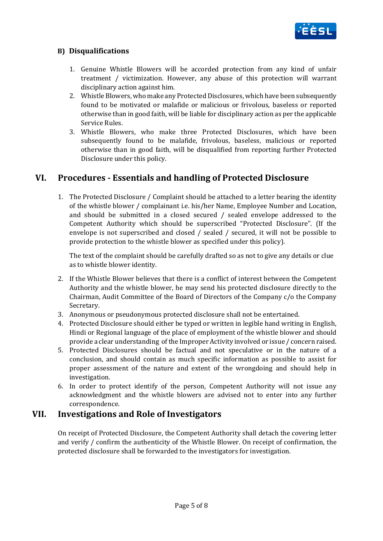

#### **B) Disqualifications**

- 1. Genuine Whistle Blowers will be accorded protection from any kind of unfair treatment / victimization. However, any abuse of this protection will warrant disciplinary action against him.
- 2. Whistle Blowers, who make any Protected Disclosures, which have been subsequently found to be motivated or malafide or malicious or frivolous, baseless or reported otherwise than in good faith, will be liable for disciplinary action as per the applicable Service Rules.
- 3. Whistle Blowers, who make three Protected Disclosures, which have been subsequently found to be malafide, frivolous, baseless, malicious or reported otherwise than in good faith, will be disqualified from reporting further Protected Disclosure under this policy.

### **VI. Procedures - Essentials and handling of Protected Disclosure**

1. The Protected Disclosure / Complaint should be attached to a letter bearing the identity of the whistle blower / complainant i.e. his/her Name, Employee Number and Location, and should be submitted in a closed secured / sealed envelope addressed to the Competent Authority which should be superscribed "Protected Disclosure". (If the envelope is not superscribed and closed / sealed / secured, it will not be possible to provide protection to the whistle blower as specified under this policy).

The text of the complaint should be carefully drafted so as not to give any details or clue as to whistle blower identity.

- 2. If the Whistle Blower believes that there is a conflict of interest between the Competent Authority and the whistle blower, he may send his protected disclosure directly to the Chairman, Audit Committee of the Board of Directors of the Company c/o the Company Secretary.
- 3. Anonymous or pseudonymous protected disclosure shall not be entertained.
- 4. Protected Disclosure should either be typed or written in legible hand writing in English, Hindi or Regional language of the place of employment of the whistle blower and should provide a clear understanding of the Improper Activity involved or issue / concern raised.
- 5. Protected Disclosures should be factual and not speculative or in the nature of a conclusion, and should contain as much specific information as possible to assist for proper assessment of the nature and extent of the wrongdoing and should help in investigation.
- 6. In order to protect identify of the person, Competent Authority will not issue any acknowledgment and the whistle blowers are advised not to enter into any further correspondence.

#### **VII. Investigations and Role of Investigators**

On receipt of Protected Disclosure, the Competent Authority shall detach the covering letter and verify / confirm the authenticity of the Whistle Blower. On receipt of confirmation, the protected disclosure shall be forwarded to the investigators for investigation.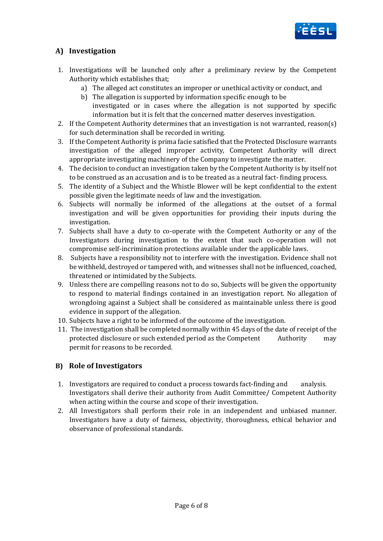

#### **A) Investigation**

- 1. Investigations will be launched only after a preliminary review by the Competent Authority which establishes that;
	- a) The alleged act constitutes an improper or unethical activity or conduct, and
		- b) The allegation is supported by information specific enough to be investigated or in cases where the allegation is not supported by specific information but it is felt that the concerned matter deserves investigation.
- 2. If the Competent Authority determines that an investigation is not warranted, reason(s) for such determination shall be recorded in writing.
- 3. If the Competent Authority is prima facie satisfied that the Protected Disclosure warrants investigation of the alleged improper activity, Competent Authority will direct appropriate investigating machinery of the Company to investigate the matter.
- 4. The decision to conduct an investigation taken by the Competent Authority is by itself not to be construed as an accusation and is to be treated as a neutral fact- finding process.
- 5. The identity of a Subject and the Whistle Blower will be kept confidential to the extent possible given the legitimate needs of law and the investigation.
- 6. Subjects will normally be informed of the allegations at the outset of a formal investigation and will be given opportunities for providing their inputs during the investigation.
- 7. Subjects shall have a duty to co-operate with the Competent Authority or any of the Investigators during investigation to the extent that such co-operation will not compromise self-incrimination protections available under the applicable laws.
- 8. Subjects have a responsibility not to interfere with the investigation. Evidence shall not be withheld, destroyed or tampered with, and witnesses shall not be influenced, coached, threatened or intimidated by the Subjects.
- 9. Unless there are compelling reasons not to do so, Subjects will be given the opportunity to respond to material findings contained in an investigation report. No allegation of wrongdoing against a Subject shall be considered as maintainable unless there is good evidence in support of the allegation.
- 10. Subjects have a right to be informed of the outcome of the investigation.
- 11. The investigation shall be completed normally within 45 days of the date of receipt of the protected disclosure or such extended period as the Competent Authority may permit for reasons to be recorded.

#### **B) Role of Investigators**

- 1. Investigators are required to conduct a process towards fact-finding and analysis. Investigators shall derive their authority from Audit Committee/ Competent Authority when acting within the course and scope of their investigation.
- 2. All Investigators shall perform their role in an independent and unbiased manner. Investigators have a duty of fairness, objectivity, thoroughness, ethical behavior and observance of professional standards.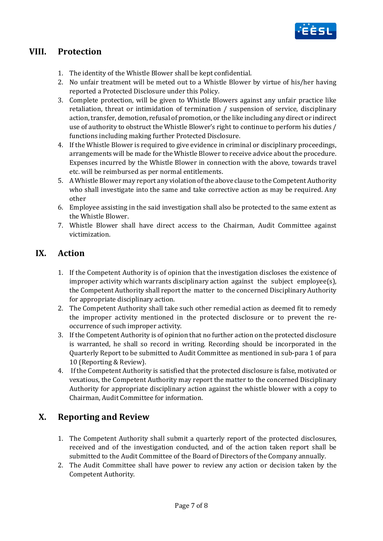

# **VIII. Protection**

- 1. The identity of the Whistle Blower shall be kept confidential.
- 2. No unfair treatment will be meted out to a Whistle Blower by virtue of his/her having reported a Protected Disclosure under this Policy.
- 3. Complete protection, will be given to Whistle Blowers against any unfair practice like retaliation, threat or intimidation of termination / suspension of service, disciplinary action, transfer, demotion, refusal of promotion, or the like including any direct or indirect use of authority to obstruct the Whistle Blower's right to continue to perform his duties / functions including making further Protected Disclosure.
- 4. If the Whistle Blower is required to give evidence in criminal or disciplinary proceedings, arrangements will be made for the Whistle Blower to receive advice about the procedure. Expenses incurred by the Whistle Blower in connection with the above, towards travel etc. will be reimbursed as per normal entitlements.
- 5. A Whistle Blower may report any violation of the above clause to the Competent Authority who shall investigate into the same and take corrective action as may be required. Any other
- 6. Employee assisting in the said investigation shall also be protected to the same extent as the Whistle Blower.
- 7. Whistle Blower shall have direct access to the Chairman, Audit Committee against victimization.

# **IX. Action**

- 1. If the Competent Authority is of opinion that the investigation discloses the existence of improper activity which warrants disciplinary action against the subject employee(s), the Competent Authority shall report the matter to the concerned Disciplinary Authority for appropriate disciplinary action.
- 2. The Competent Authority shall take such other remedial action as deemed fit to remedy the improper activity mentioned in the protected disclosure or to prevent the reoccurrence of such improper activity.
- 3. If the Competent Authority is of opinion that no further action on the protected disclosure is warranted, he shall so record in writing. Recording should be incorporated in the Quarterly Report to be submitted to Audit Committee as mentioned in sub-para 1 of para 10 (Reporting & Review).
- 4. If the Competent Authority is satisfied that the protected disclosure is false, motivated or vexatious, the Competent Authority may report the matter to the concerned Disciplinary Authority for appropriate disciplinary action against the whistle blower with a copy to Chairman, Audit Committee for information.

# **X. Reporting and Review**

- 1. The Competent Authority shall submit a quarterly report of the protected disclosures, received and of the investigation conducted, and of the action taken report shall be submitted to the Audit Committee of the Board of Directors of the Company annually.
- 2. The Audit Committee shall have power to review any action or decision taken by the Competent Authority.